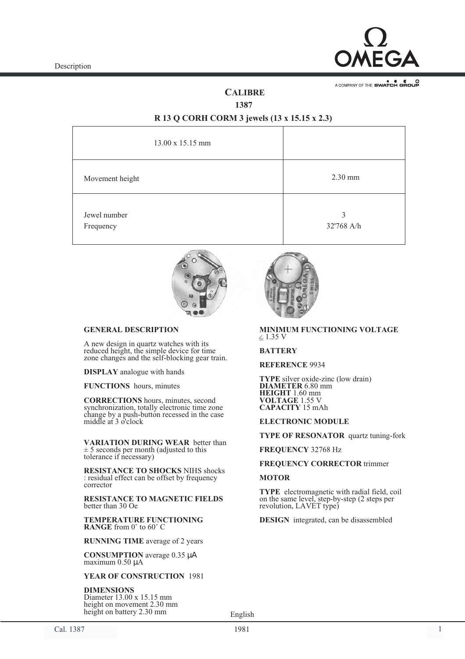

A COMPANY OF THE SWATCH GROUP

# **CALIBRE**

**1387**

# **R 13 Q CORH CORM 3 jewels (13 x 15.15 x 2.3)**

| $13.00 \times 15.15$ mm   |                 |
|---------------------------|-----------------|
| Movement height           | $2.30$ mm       |
| Jewel number<br>Frequency | 3<br>32'768 A/h |



## **GENERAL DESCRIPTION**

A new design in quartz watches with its reduced height, the simple device for time zone changes and the self-blocking gear train.

**DISPLAY** analogue with hands

**FUNCTIONS** hours, minutes

**CORRECTIONS** hours, minutes, second synchronization, totally electronic time zone change by a push-button recessed in the case middle at 3 o'clock

**VARIATION DURING WEAR** better than  $\pm$  5 seconds per month (adjusted to this tolerance if necessary)

**RESISTANCE TO SHOCKS** NIHS shocks : residual effect can be offset by frequency corrector

**RESISTANCE TO MAGNETIC FIELDS** better than 30 Oe

**TEMPERATURE FUNCTIONING RANGE** from 0˚ to 60˚ C

**RUNNING TIME** average of 2 years

**CONSUMPTION** average 0.35 µΑ maximum 0.50 µ<sup>A</sup>

#### **YEAR OF CONSTRUCTION** 1981

**DIMENSIONS** Diameter 13.00 x 15.15 mm height on movement 2.30 mm height on battery 2.30 mm



#### $\leq$  1.35 V **MINIMUM FUNCTIONING VOLTAGE**

## **BATTERY**

**REFERENCE** 9934

**TYPE** silver oxide-zinc (low drain) **DIAMETER** 6.80 mm **HEIGHT** 1.60 mm **VOLTAGE** 1.55 V **CAPACITY** 15 mAh

## **ELECTRONIC MODULE**

**TYPE OF RESONATOR** quartz tuning-fork

## **FREQUENCY** 32768 Hz

## **FREQUENCY CORRECTOR** trimmer

## **MOTOR**

**TYPE** electromagnetic with radial field, coil on the same level, step-by-step (2 steps per revolution, LAVET type)

**DESIGN** integrated, can be disassembled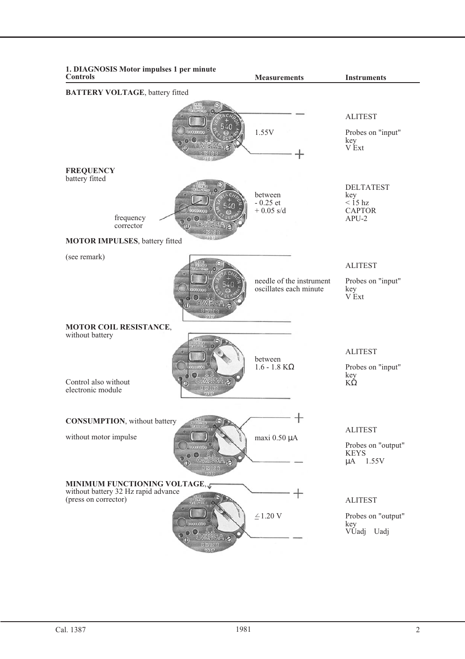| 1. DIAGNOSIS Motor impulses 1 per minute<br><b>Controls</b>                                            | <b>Measurements</b>                                | <b>Instruments</b>                                                      |  |  |  |  |
|--------------------------------------------------------------------------------------------------------|----------------------------------------------------|-------------------------------------------------------------------------|--|--|--|--|
| <b>BATTERY VOLTAGE</b> , battery fitted                                                                |                                                    |                                                                         |  |  |  |  |
|                                                                                                        | 1.55V                                              | <b>ALITEST</b><br>Probes on "input"<br>key<br>V Ext                     |  |  |  |  |
| <b>FREQUENCY</b><br>battery fitted<br>frequency<br>corrector<br><b>MOTOR IMPULSES</b> , battery fitted | between<br>$-0.25$ et<br>$+0.05$ s/d               | <b>DELTATEST</b><br>key<br>$\langle$ 15 hz<br><b>CAPTOR</b><br>$APU-2$  |  |  |  |  |
| (see remark)                                                                                           | needle of the instrument<br>oscillates each minute | <b>ALITEST</b><br>Probes on "input"<br>key<br>V Ext                     |  |  |  |  |
| MOTOR COIL RESISTANCE,<br>without battery<br>Control also without<br>electronic module                 | between<br>$1.6 - 1.8$ K $\Omega$                  | <b>ALITEST</b><br>Probes on "input"<br>key<br>$K\dot{\Omega}$           |  |  |  |  |
| <b>CONSUMPTION</b> , without battery<br>without motor impulse                                          | 1<br>maxi 0.50 µA                                  | <b>ALITEST</b><br>Probes on "output"<br><b>KEYS</b><br>1.55V<br>$\mu$ A |  |  |  |  |
| <b>MINIMUM FUNCTIONING VOLTAGE, J</b><br>without battery 32 Hz rapid advance<br>(press on corrector)   | $\mathrel{\underline{\mathcal{L}}} 1.20$ V         | <b>ALITEST</b><br>Probes on "output"<br>key<br>VUadj<br>Uadj            |  |  |  |  |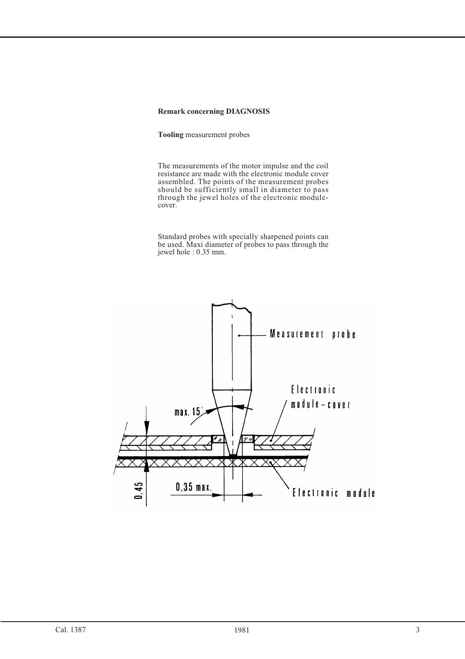# **Remark concerning DIAGNOSIS**

**Tooling** measurement probes

The measurements of the motor impulse and the coil resistance are made with the electronic module cover assembled. The points of the measurement probes should be sufficiently small in diameter to pass through the jewel holes of the electronic modulecover.

Standard probes with specially sharpened points can be used. Maxi diameter of probes to pass through the jewel hole : 0.35 mm.

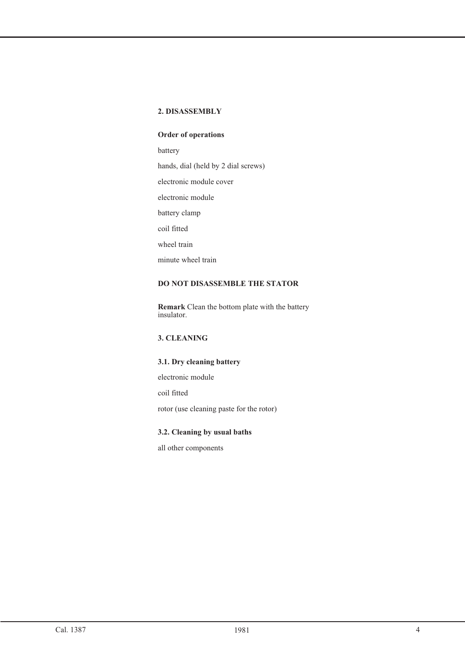# **2. DISASSEMBLY**

# **Order of operations**

battery

hands, dial (held by 2 dial screws)

electronic module cover

electronic module

battery clamp

coil fitted

wheel train

minute wheel train

# **DO NOT DISASSEMBLE THE STATOR**

**Remark** Clean the bottom plate with the battery insulator.

# **3. CLEANING**

# **3.1. Dry cleaning battery**

electronic module

coil fitted

rotor (use cleaning paste for the rotor)

# **3.2. Cleaning by usual baths**

all other components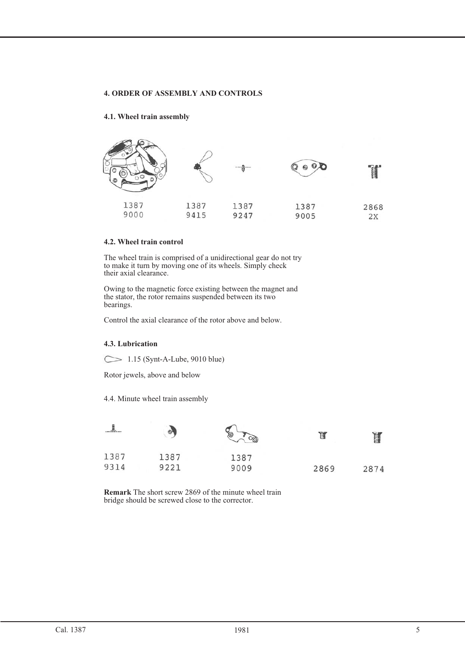# **4. ORDER OF ASSEMBLY AND CONTROLS**

# **4.1. Wheel train assembly**



# **4.2. Wheel train control**

The wheel train is comprised of a unidirectional gear do not try to make it turn by moving one of its wheels. Simply check their axial clearance.

Owing to the magnetic force existing between the magnet and the stator, the rotor remains suspended between its two bearings.

Control the axial clearance of the rotor above and below.

# **4.3. Lubrication**

 $\sim$  1.15 (Synt-A-Lube, 9010 blue)

Rotor jewels, above and below

4.4. Minute wheel train assembly

|      | 学    | ℅<br>$\infty$ | ť    | Ĭ    |
|------|------|---------------|------|------|
| 1387 | 1387 | 1387          |      |      |
| 9314 | 9221 | 9009          | 2869 | 2874 |

**Remark** The short screw 2869 of the minute wheel train bridge should be screwed close to the corrector.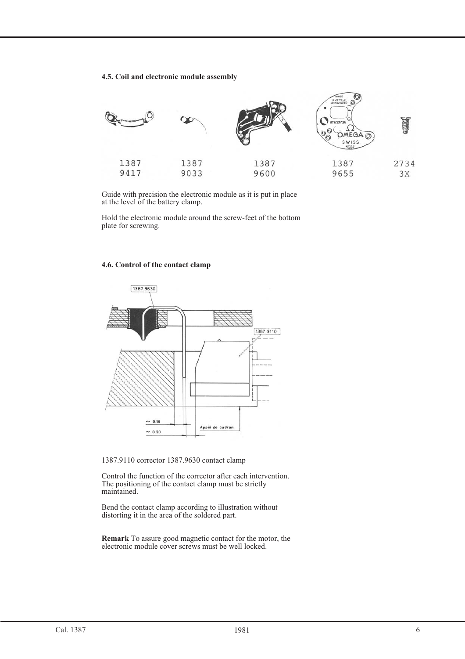## **4.5. Coil and electronic module assembly**



Guide with precision the electronic module as it is put in place at the level of the battery clamp.

Hold the electronic module around the screw-feet of the bottom plate for screwing.

# **4.6. Control of the contact clamp**



1387.9110 corrector 1387.9630 contact clamp

Control the function of the corrector after each intervention. The positioning of the contact clamp must be strictly maintained.

Bend the contact clamp according to illustration without distorting it in the area of the soldered part.

**Remark** To assure good magnetic contact for the motor, the electronic module cover screws must be well locked.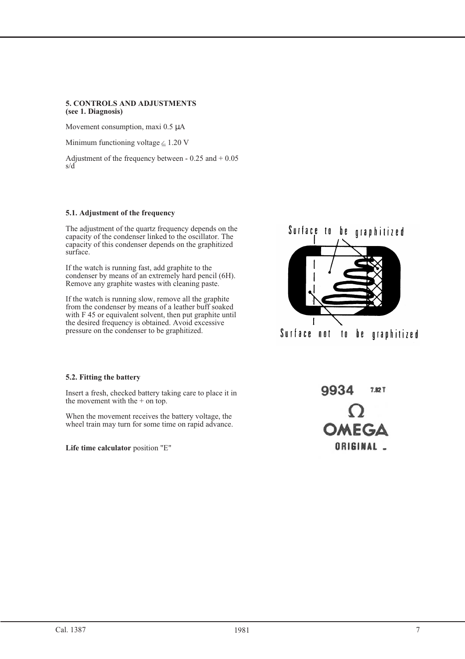# **5. CONTROLS AND ADJUSTMENTS (see 1. Diagnosis)**

Movement consumption, maxi 0.5 µA

Minimum functioning voltage  $\leq$  1.20 V

Adjustment of the frequency between - 0.25 and + 0.05 s/d

# **5.1. Adjustment of the frequency**

The adjustment of the quartz frequency depends on the capacity of the condenser linked to the oscillator. The capacity of this condenser depends on the graphitized surface.

If the watch is running fast, add graphite to the condenser by means of an extremely hard pencil (6H). Remove any graphite wastes with cleaning paste.

If the watch is running slow, remove all the graphite from the condenser by means of a leather buff soaked with F 45 or equivalent solvent, then put graphite until the desired frequency is obtained. Avoid excessive pressure on the condenser to be graphitized.



# **5.2. Fitting the battery**

Insert a fresh, checked battery taking care to place it in the movement with the + on top.

When the movement receives the battery voltage, the wheel train may turn for some time on rapid advance.

**Life time calculator** position "E"